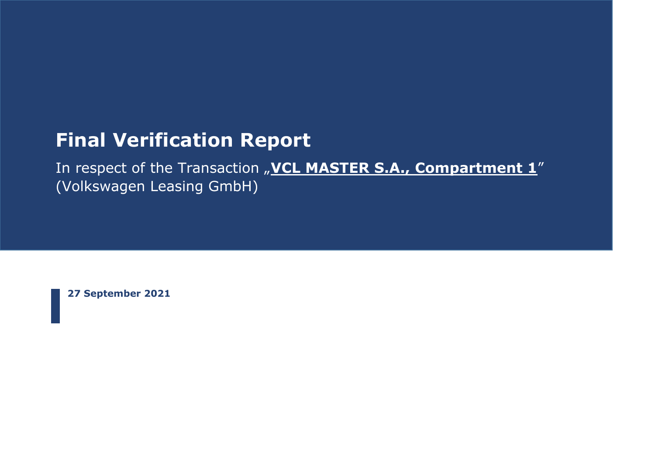# **Final Verification Report**

In respect of the Transaction "VCL MASTER S.A., Compartment 1" (Volkswagen Leasing GmbH)

**27 September 2021**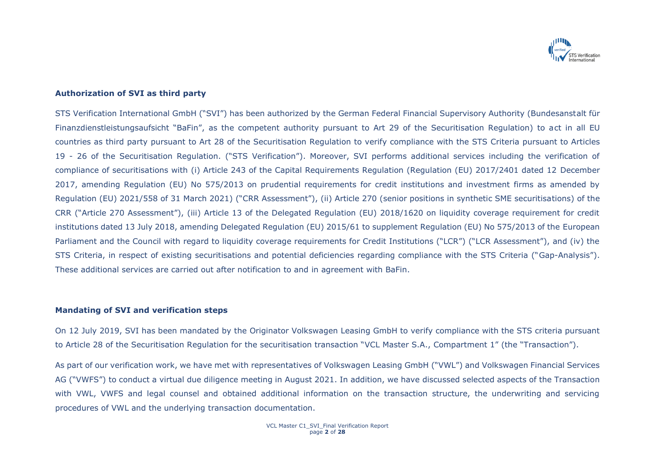

### **Authorization of SVI as third party**

STS Verification International GmbH ("SVI") has been authorized by the German Federal Financial Supervisory Authority (Bundesanstalt für Finanzdienstleistungsaufsicht "BaFin", as the competent authority pursuant to Art 29 of the Securitisation Regulation) to act in all EU countries as third party pursuant to Art 28 of the Securitisation Regulation to verify compliance with the STS Criteria pursuant to Articles 19 - 26 of the Securitisation Regulation. ("STS Verification"). Moreover, SVI performs additional services including the verification of compliance of securitisations with (i) Article 243 of the Capital Requirements Regulation (Regulation (EU) 2017/2401 dated 12 December 2017, amending Regulation (EU) No 575/2013 on prudential requirements for credit institutions and investment firms as amended by Regulation (EU) 2021/558 of 31 March 2021) ("CRR Assessment"), (ii) Article 270 (senior positions in synthetic SME securitisations) of the CRR ("Article 270 Assessment"), (iii) Article 13 of the Delegated Regulation (EU) 2018/1620 on liquidity coverage requirement for credit institutions dated 13 July 2018, amending Delegated Regulation (EU) 2015/61 to supplement Regulation (EU) No 575/2013 of the European Parliament and the Council with regard to liquidity coverage requirements for Credit Institutions ("LCR") ("LCR Assessment"), and (iv) the STS Criteria, in respect of existing securitisations and potential deficiencies regarding compliance with the STS Criteria ("Gap-Analysis"). These additional services are carried out after notification to and in agreement with BaFin.

#### **Mandating of SVI and verification steps**

On 12 July 2019, SVI has been mandated by the Originator Volkswagen Leasing GmbH to verify compliance with the STS criteria pursuant to Article 28 of the Securitisation Regulation for the securitisation transaction "VCL Master S.A., Compartment 1" (the "Transaction").

As part of our verification work, we have met with representatives of Volkswagen Leasing GmbH ("VWL") and Volkswagen Financial Services AG ("VWFS") to conduct a virtual due diligence meeting in August 2021. In addition, we have discussed selected aspects of the Transaction with VWL, VWFS and legal counsel and obtained additional information on the transaction structure, the underwriting and servicing procedures of VWL and the underlying transaction documentation.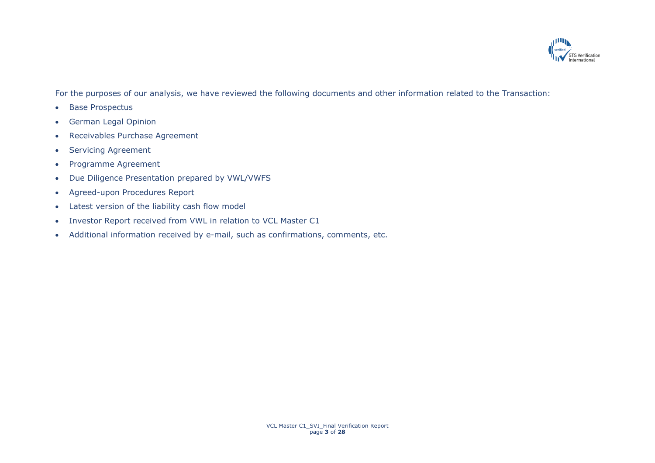

For the purposes of our analysis, we have reviewed the following documents and other information related to the Transaction:

- Base Prospectus
- German Legal Opinion
- Receivables Purchase Agreement
- Servicing Agreement
- Programme Agreement
- Due Diligence Presentation prepared by VWL/VWFS
- Agreed-upon Procedures Report
- Latest version of the liability cash flow model
- Investor Report received from VWL in relation to VCL Master C1
- Additional information received by e-mail, such as confirmations, comments, etc.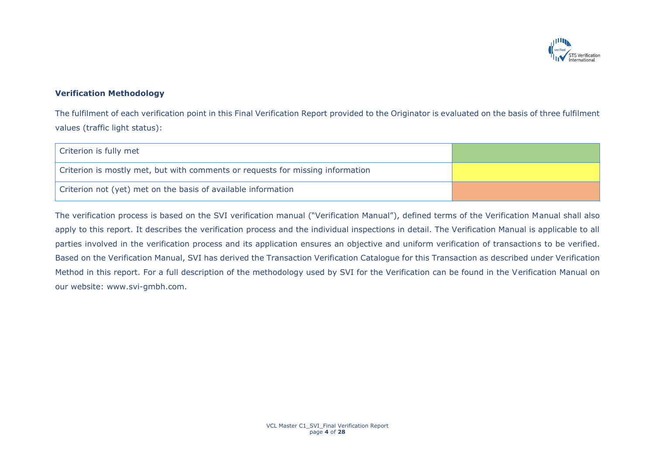

# **Verification Methodology**

The fulfilment of each verification point in this Final Verification Report provided to the Originator is evaluated on the basis of three fulfilment values (traffic light status):

| Criterion is fully met                                                         |  |
|--------------------------------------------------------------------------------|--|
| Criterion is mostly met, but with comments or requests for missing information |  |
| Criterion not (yet) met on the basis of available information                  |  |

The verification process is based on the SVI verification manual ("Verification Manual"), defined terms of the Verification Manual shall also apply to this report. It describes the verification process and the individual inspections in detail. The Verification Manual is applicable to all parties involved in the verification process and its application ensures an objective and uniform verification of transactions to be verified. Based on the Verification Manual, SVI has derived the Transaction Verification Catalogue for this Transaction as described under Verification Method in this report. For a full description of the methodology used by SVI for the Verification can be found in the Verification Manual on our website: www.svi-gmbh.com.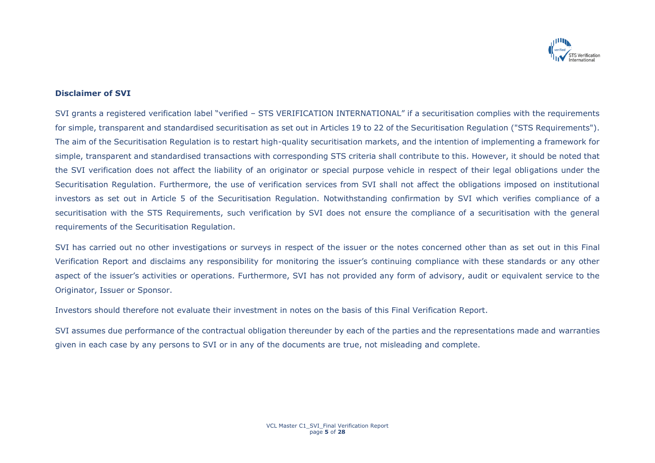

## **Disclaimer of SVI**

SVI grants a registered verification label "verified – STS VERIFICATION INTERNATIONAL" if a securitisation complies with the requirements for simple, transparent and standardised securitisation as set out in Articles 19 to 22 of the Securitisation Regulation ("STS Requirements"). The aim of the Securitisation Regulation is to restart high-quality securitisation markets, and the intention of implementing a framework for simple, transparent and standardised transactions with corresponding STS criteria shall contribute to this. However, it should be noted that the SVI verification does not affect the liability of an originator or special purpose vehicle in respect of their legal obligations under the Securitisation Regulation. Furthermore, the use of verification services from SVI shall not affect the obligations imposed on institutional investors as set out in Article 5 of the Securitisation Regulation. Notwithstanding confirmation by SVI which verifies compliance of a securitisation with the STS Requirements, such verification by SVI does not ensure the compliance of a securitisation with the general requirements of the Securitisation Regulation.

SVI has carried out no other investigations or surveys in respect of the issuer or the notes concerned other than as set out in this Final Verification Report and disclaims any responsibility for monitoring the issuer's continuing compliance with these standards or any other aspect of the issuer's activities or operations. Furthermore, SVI has not provided any form of advisory, audit or equivalent service to the Originator, Issuer or Sponsor.

Investors should therefore not evaluate their investment in notes on the basis of this Final Verification Report.

SVI assumes due performance of the contractual obligation thereunder by each of the parties and the representations made and warranties given in each case by any persons to SVI or in any of the documents are true, not misleading and complete.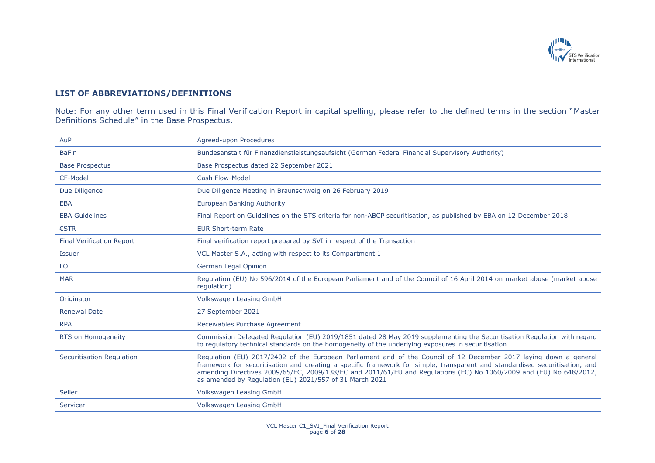

# **LIST OF ABBREVIATIONS/DEFINITIONS**

Note: For any other term used in this Final Verification Report in capital spelling, please refer to the defined terms in the section "Master Definitions Schedule" in the Base Prospectus.

| AuP                              | Agreed-upon Procedures                                                                                                                                                                                                                                                                                                                                                                                                            |
|----------------------------------|-----------------------------------------------------------------------------------------------------------------------------------------------------------------------------------------------------------------------------------------------------------------------------------------------------------------------------------------------------------------------------------------------------------------------------------|
| <b>BaFin</b>                     | Bundesanstalt für Finanzdienstleistungsaufsicht (German Federal Financial Supervisory Authority)                                                                                                                                                                                                                                                                                                                                  |
| <b>Base Prospectus</b>           | Base Prospectus dated 22 September 2021                                                                                                                                                                                                                                                                                                                                                                                           |
| CF-Model                         | Cash Flow-Model                                                                                                                                                                                                                                                                                                                                                                                                                   |
| Due Diligence                    | Due Diligence Meeting in Braunschweig on 26 February 2019                                                                                                                                                                                                                                                                                                                                                                         |
| <b>EBA</b>                       | European Banking Authority                                                                                                                                                                                                                                                                                                                                                                                                        |
| <b>EBA Guidelines</b>            | Final Report on Guidelines on the STS criteria for non-ABCP securitisation, as published by EBA on 12 December 2018                                                                                                                                                                                                                                                                                                               |
| €STR                             | <b>EUR Short-term Rate</b>                                                                                                                                                                                                                                                                                                                                                                                                        |
| <b>Final Verification Report</b> | Final verification report prepared by SVI in respect of the Transaction                                                                                                                                                                                                                                                                                                                                                           |
| <b>Issuer</b>                    | VCL Master S.A., acting with respect to its Compartment 1                                                                                                                                                                                                                                                                                                                                                                         |
| LO                               | German Legal Opinion                                                                                                                                                                                                                                                                                                                                                                                                              |
| <b>MAR</b>                       | Regulation (EU) No 596/2014 of the European Parliament and of the Council of 16 April 2014 on market abuse (market abuse<br>requlation)                                                                                                                                                                                                                                                                                           |
| Originator                       | Volkswagen Leasing GmbH                                                                                                                                                                                                                                                                                                                                                                                                           |
| <b>Renewal Date</b>              | 27 September 2021                                                                                                                                                                                                                                                                                                                                                                                                                 |
| <b>RPA</b>                       | Receivables Purchase Agreement                                                                                                                                                                                                                                                                                                                                                                                                    |
| RTS on Homogeneity               | Commission Delegated Regulation (EU) 2019/1851 dated 28 May 2019 supplementing the Securitisation Regulation with regard<br>to regulatory technical standards on the homogeneity of the underlying exposures in securitisation                                                                                                                                                                                                    |
| <b>Securitisation Regulation</b> | Regulation (EU) 2017/2402 of the European Parliament and of the Council of 12 December 2017 laying down a general<br>framework for securitisation and creating a specific framework for simple, transparent and standardised securitisation, and<br>amending Directives 2009/65/EC, 2009/138/EC and 2011/61/EU and Regulations (EC) No 1060/2009 and (EU) No 648/2012,<br>as amended by Regulation (EU) 2021/557 of 31 March 2021 |
| Seller                           | Volkswagen Leasing GmbH                                                                                                                                                                                                                                                                                                                                                                                                           |
| Servicer                         | Volkswagen Leasing GmbH                                                                                                                                                                                                                                                                                                                                                                                                           |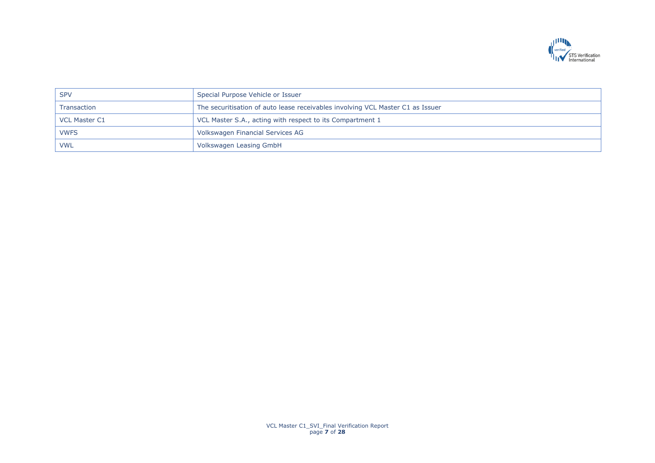

| <b>SPV</b>           | Special Purpose Vehicle or Issuer                                              |
|----------------------|--------------------------------------------------------------------------------|
| Transaction          | The securitisation of auto lease receivables involving VCL Master C1 as Issuer |
| <b>VCL Master C1</b> | VCL Master S.A., acting with respect to its Compartment 1                      |
| <b>VWFS</b>          | Volkswagen Financial Services AG                                               |
| <b>VWL</b>           | Volkswagen Leasing GmbH                                                        |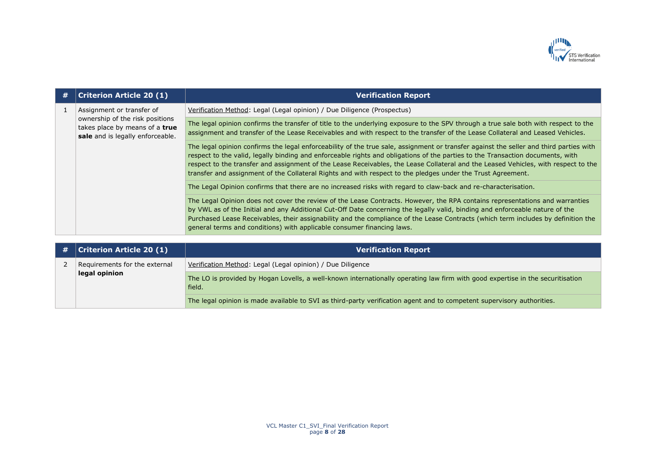

| # | <b>Criterion Article 20 (1)</b>                                                                                                    | <b>Verification Report</b>                                                                                                                                                                                                                                                                                                                                                                                                                                                                                                    |
|---|------------------------------------------------------------------------------------------------------------------------------------|-------------------------------------------------------------------------------------------------------------------------------------------------------------------------------------------------------------------------------------------------------------------------------------------------------------------------------------------------------------------------------------------------------------------------------------------------------------------------------------------------------------------------------|
|   | Assignment or transfer of<br>ownership of the risk positions<br>takes place by means of a true<br>sale and is legally enforceable. | Verification Method: Legal (Legal opinion) / Due Diligence (Prospectus)                                                                                                                                                                                                                                                                                                                                                                                                                                                       |
|   |                                                                                                                                    | The legal opinion confirms the transfer of title to the underlying exposure to the SPV through a true sale both with respect to the<br>assignment and transfer of the Lease Receivables and with respect to the transfer of the Lease Collateral and Leased Vehicles.                                                                                                                                                                                                                                                         |
|   |                                                                                                                                    | The legal opinion confirms the legal enforceability of the true sale, assignment or transfer against the seller and third parties with<br>respect to the valid, legally binding and enforceable rights and obligations of the parties to the Transaction documents, with<br>respect to the transfer and assignment of the Lease Receivables, the Lease Collateral and the Leased Vehicles, with respect to the<br>transfer and assignment of the Collateral Rights and with respect to the pledges under the Trust Agreement. |
|   |                                                                                                                                    | The Legal Opinion confirms that there are no increased risks with regard to claw-back and re-characterisation.                                                                                                                                                                                                                                                                                                                                                                                                                |
|   |                                                                                                                                    | The Legal Opinion does not cover the review of the Lease Contracts. However, the RPA contains representations and warranties<br>by VWL as of the Initial and any Additional Cut-Off Date concerning the legally valid, binding and enforceable nature of the<br>Purchased Lease Receivables, their assignability and the compliance of the Lease Contracts (which term includes by definition the<br>general terms and conditions) with applicable consumer financing laws.                                                   |

| # | <b>Criterion Article 20 (1)</b> | <b>Verification Report</b>                                                                                                               |
|---|---------------------------------|------------------------------------------------------------------------------------------------------------------------------------------|
|   | Requirements for the external   | Verification Method: Legal (Legal opinion) / Due Diligence                                                                               |
|   | legal opinion                   | The LO is provided by Hogan Lovells, a well-known internationally operating law firm with good expertise in the securitisation<br>field. |
|   |                                 | The legal opinion is made available to SVI as third-party verification agent and to competent supervisory authorities.                   |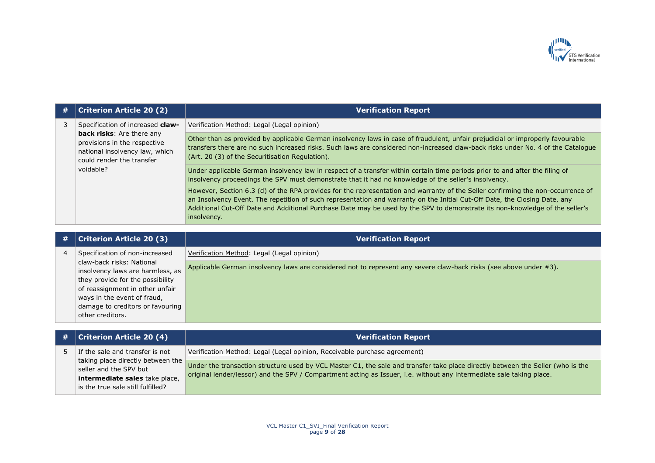

| # | <b>Criterion Article 20 (2)</b>                                                                                                 | <b>Verification Report</b>                                                                                                                                                                                                                                                                                                                                                                                   |
|---|---------------------------------------------------------------------------------------------------------------------------------|--------------------------------------------------------------------------------------------------------------------------------------------------------------------------------------------------------------------------------------------------------------------------------------------------------------------------------------------------------------------------------------------------------------|
|   | Specification of increased claw-                                                                                                | Verification Method: Legal (Legal opinion)                                                                                                                                                                                                                                                                                                                                                                   |
|   | <b>back risks:</b> Are there any<br>provisions in the respective<br>national insolvency law, which<br>could render the transfer | Other than as provided by applicable German insolvency laws in case of fraudulent, unfair prejudicial or improperly favourable<br>transfers there are no such increased risks. Such laws are considered non-increased claw-back risks under No. 4 of the Catalogue<br>(Art. 20 (3) of the Securitisation Regulation).                                                                                        |
|   | voidable?                                                                                                                       | Under applicable German insolvency law in respect of a transfer within certain time periods prior to and after the filing of<br>insolvency proceedings the SPV must demonstrate that it had no knowledge of the seller's insolvency.                                                                                                                                                                         |
|   |                                                                                                                                 | However, Section 6.3 (d) of the RPA provides for the representation and warranty of the Seller confirming the non-occurrence of<br>an Insolvency Event. The repetition of such representation and warranty on the Initial Cut-Off Date, the Closing Date, any<br>Additional Cut-Off Date and Additional Purchase Date may be used by the SPV to demonstrate its non-knowledge of the seller's<br>insolvency. |

|   | <b>Criterion Article 20 (3)</b>                                                                                                      | <b>Verification Report</b>                                                                                         |
|---|--------------------------------------------------------------------------------------------------------------------------------------|--------------------------------------------------------------------------------------------------------------------|
| 4 | Specification of non-increased                                                                                                       | Verification Method: Legal (Legal opinion)                                                                         |
|   | claw-back risks: National<br>insolvency laws are harmless, as<br>they provide for the possibility<br>of reassignment in other unfair | Applicable German insolvency laws are considered not to represent any severe claw-back risks (see above under #3). |
|   | ways in the event of fraud,<br>damage to creditors or favouring<br>other creditors.                                                  |                                                                                                                    |

| $\#$   Criterion Article 20 (4)                                                                                                    | Verification Report                                                                                                                                                                                                                                     |
|------------------------------------------------------------------------------------------------------------------------------------|---------------------------------------------------------------------------------------------------------------------------------------------------------------------------------------------------------------------------------------------------------|
| If the sale and transfer is not                                                                                                    | Verification Method: Legal (Legal opinion, Receivable purchase agreement)                                                                                                                                                                               |
| taking place directly between the<br>seller and the SPV but<br>intermediate sales take place,<br>is the true sale still fulfilled? | Under the transaction structure used by VCL Master C1, the sale and transfer take place directly between the Seller (who is the<br>original lender/lessor) and the SPV / Compartment acting as Issuer, i.e. without any intermediate sale taking place. |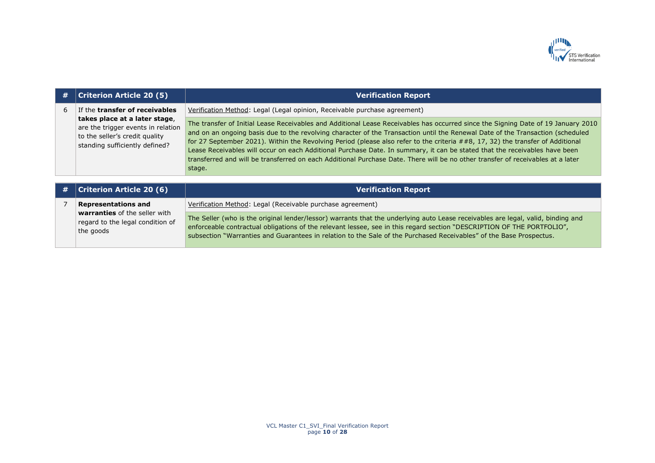

| #                                                                                                 | <b>Criterion Article 20 (5)</b>                                                                              | <b>Verification Report</b>                                                                                                                                                                                                                                                                                                                                                                                                                                                                                                                                                                                                                                                       |
|---------------------------------------------------------------------------------------------------|--------------------------------------------------------------------------------------------------------------|----------------------------------------------------------------------------------------------------------------------------------------------------------------------------------------------------------------------------------------------------------------------------------------------------------------------------------------------------------------------------------------------------------------------------------------------------------------------------------------------------------------------------------------------------------------------------------------------------------------------------------------------------------------------------------|
| 6                                                                                                 | If the <b>transfer of receivables</b>                                                                        | Verification Method: Legal (Legal opinion, Receivable purchase agreement)                                                                                                                                                                                                                                                                                                                                                                                                                                                                                                                                                                                                        |
| takes place at a later stage,<br>to the seller's credit quality<br>standing sufficiently defined? | are the trigger events in relation                                                                           | The transfer of Initial Lease Receivables and Additional Lease Receivables has occurred since the Signing Date of 19 January 2010<br>and on an ongoing basis due to the revolving character of the Transaction until the Renewal Date of the Transaction (scheduled<br>for 27 September 2021). Within the Revolving Period (please also refer to the criteria ##8, 17, 32) the transfer of Additional<br>Lease Receivables will occur on each Additional Purchase Date. In summary, it can be stated that the receivables have been<br>transferred and will be transferred on each Additional Purchase Date. There will be no other transfer of receivables at a later<br>stage. |
| #                                                                                                 | <b>Criterion Article 20 (6)</b>                                                                              | <b>Verification Report</b>                                                                                                                                                                                                                                                                                                                                                                                                                                                                                                                                                                                                                                                       |
|                                                                                                   | <b>Representations and</b><br>warranties of the seller with<br>regard to the legal condition of<br>the goods | Verification Method: Legal (Receivable purchase agreement)                                                                                                                                                                                                                                                                                                                                                                                                                                                                                                                                                                                                                       |
|                                                                                                   |                                                                                                              | The Seller (who is the original lender/lessor) warrants that the underlying auto Lease receivables are legal, valid, binding and<br>enforceable contractual obligations of the relevant lessee, see in this regard section "DESCRIPTION OF THE PORTFOLIO",<br>subsection "Warranties and Guarantees in relation to the Sale of the Purchased Receivables" of the Base Prospectus.                                                                                                                                                                                                                                                                                                |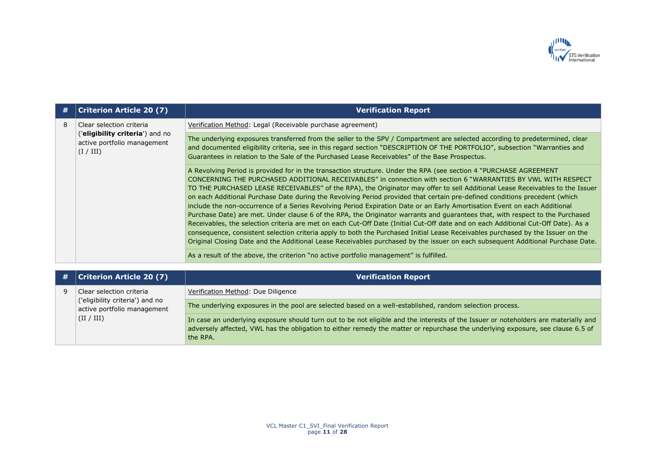

| # | <b>Criterion Article 20 (7)</b>                                             | <b>Verification Report</b>                                                                                                                                                                                                                                                                                                                                                                                                                                                                                                                                                                                                                                                                                                                                                                                                                                                                                                                                                                                                                                                                                                                                                                                                                                          |
|---|-----------------------------------------------------------------------------|---------------------------------------------------------------------------------------------------------------------------------------------------------------------------------------------------------------------------------------------------------------------------------------------------------------------------------------------------------------------------------------------------------------------------------------------------------------------------------------------------------------------------------------------------------------------------------------------------------------------------------------------------------------------------------------------------------------------------------------------------------------------------------------------------------------------------------------------------------------------------------------------------------------------------------------------------------------------------------------------------------------------------------------------------------------------------------------------------------------------------------------------------------------------------------------------------------------------------------------------------------------------|
| 8 | Clear selection criteria                                                    | Verification Method: Legal (Receivable purchase agreement)                                                                                                                                                                                                                                                                                                                                                                                                                                                                                                                                                                                                                                                                                                                                                                                                                                                                                                                                                                                                                                                                                                                                                                                                          |
|   | ('eligibility criteria') and no<br>active portfolio management<br>(I / III) | The underlying exposures transferred from the seller to the SPV / Compartment are selected according to predetermined, clear<br>and documented eligibility criteria, see in this regard section "DESCRIPTION OF THE PORTFOLIO", subsection "Warranties and<br>Guarantees in relation to the Sale of the Purchased Lease Receivables" of the Base Prospectus.                                                                                                                                                                                                                                                                                                                                                                                                                                                                                                                                                                                                                                                                                                                                                                                                                                                                                                        |
|   |                                                                             | A Revolving Period is provided for in the transaction structure. Under the RPA (see section 4 "PURCHASE AGREEMENT<br>CONCERNING THE PURCHASED ADDITIONAL RECEIVABLES" in connection with section 6 "WARRANTIES BY VWL WITH RESPECT<br>TO THE PURCHASED LEASE RECEIVABLES" of the RPA), the Originator may offer to sell Additional Lease Receivables to the Issuer<br>on each Additional Purchase Date during the Revolving Period provided that certain pre-defined conditions precedent (which<br>include the non-occurrence of a Series Revolving Period Expiration Date or an Early Amortisation Event on each Additional<br>Purchase Date) are met. Under clause 6 of the RPA, the Originator warrants and guarantees that, with respect to the Purchased<br>Receivables, the selection criteria are met on each Cut-Off Date (Initial Cut-Off date and on each Additional Cut-Off Date). As a<br>consequence, consistent selection criteria apply to both the Purchased Initial Lease Receivables purchased by the Issuer on the<br>Original Closing Date and the Additional Lease Receivables purchased by the issuer on each subsequent Additional Purchase Date.<br>As a result of the above, the criterion "no active portfolio management" is fulfilled. |

| # | <b>Criterion Article 20 (7)</b>                                              | <b>Verification Report</b>                                                                                                                                                                                                                                                         |
|---|------------------------------------------------------------------------------|------------------------------------------------------------------------------------------------------------------------------------------------------------------------------------------------------------------------------------------------------------------------------------|
|   | Clear selection criteria                                                     | Verification Method: Due Diligence                                                                                                                                                                                                                                                 |
|   | ('eligibility criteria') and no<br>active portfolio management<br>(II / III) | The underlying exposures in the pool are selected based on a well-established, random selection process.                                                                                                                                                                           |
|   |                                                                              | In case an underlying exposure should turn out to be not eligible and the interests of the Issuer or noteholders are materially and<br>adversely affected, VWL has the obligation to either remedy the matter or repurchase the underlying exposure, see clause 6.5 of<br>the RPA. |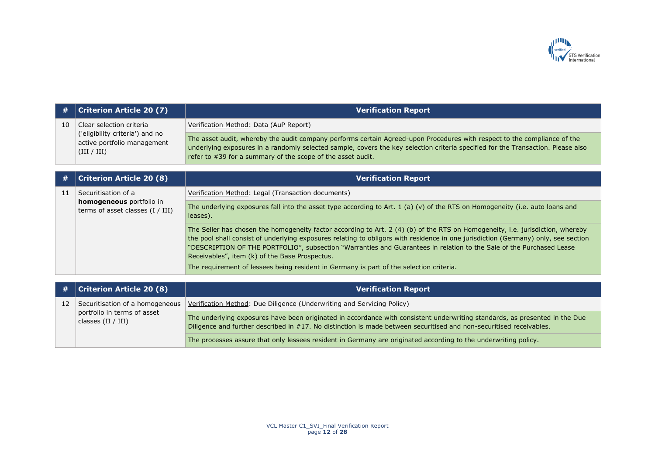

| #  | Criterion Article 20 (7)                                                      | <b>Verification Report</b>                                                                                                                                                                                                                                                                                                  |
|----|-------------------------------------------------------------------------------|-----------------------------------------------------------------------------------------------------------------------------------------------------------------------------------------------------------------------------------------------------------------------------------------------------------------------------|
| 10 | Clear selection criteria                                                      | Verification Method: Data (AuP Report)                                                                                                                                                                                                                                                                                      |
|    | ('eligibility criteria') and no<br>active portfolio management<br>(III / III) | The asset audit, whereby the audit company performs certain Agreed-upon Procedures with respect to the compliance of the<br>underlying exposures in a randomly selected sample, covers the key selection criteria specified for the Transaction. Please also<br>refer to #39 for a summary of the scope of the asset audit. |

| #  | <b>Criterion Article 20 (8)</b>                                                       | <b>Verification Report</b>                                                                                                                                                                                                                                                                                                                                                                                                                     |
|----|---------------------------------------------------------------------------------------|------------------------------------------------------------------------------------------------------------------------------------------------------------------------------------------------------------------------------------------------------------------------------------------------------------------------------------------------------------------------------------------------------------------------------------------------|
| 11 | Securitisation of a<br>homogeneous portfolio in<br>terms of asset classes $(I / III)$ | Verification Method: Legal (Transaction documents)                                                                                                                                                                                                                                                                                                                                                                                             |
|    |                                                                                       | The underlying exposures fall into the asset type according to Art. $1$ (a) (v) of the RTS on Homogeneity (i.e. auto loans and<br>leases).                                                                                                                                                                                                                                                                                                     |
|    |                                                                                       | The Seller has chosen the homogeneity factor according to Art. 2 (4) (b) of the RTS on Homogeneity, i.e. jurisdiction, whereby<br>the pool shall consist of underlying exposures relating to obligors with residence in one jurisdiction (Germany) only, see section<br>"DESCRIPTION OF THE PORTFOLIO", subsection "Warranties and Guarantees in relation to the Sale of the Purchased Lease<br>Receivables", item (k) of the Base Prospectus. |
|    |                                                                                       | The requirement of lessees being resident in Germany is part of the selection criteria.                                                                                                                                                                                                                                                                                                                                                        |
|    |                                                                                       |                                                                                                                                                                                                                                                                                                                                                                                                                                                |
| #  | <b>Criterion Article 20 (8)</b>                                                       | <b>Verification Report</b>                                                                                                                                                                                                                                                                                                                                                                                                                     |
| 12 | Securitisation of a homogeneous<br>portfolio in terms of asset<br>classes (II / III)  | Verification Method: Due Diligence (Underwriting and Servicing Policy)                                                                                                                                                                                                                                                                                                                                                                         |
|    |                                                                                       | The underlying exposures have been originated in accordance with consistent underwriting standards, as presented in the Due                                                                                                                                                                                                                                                                                                                    |

Diligence and further described in #17. No distinction is made between securitised and non-securitised receivables.

The processes assure that only lessees resident in Germany are originated according to the underwriting policy.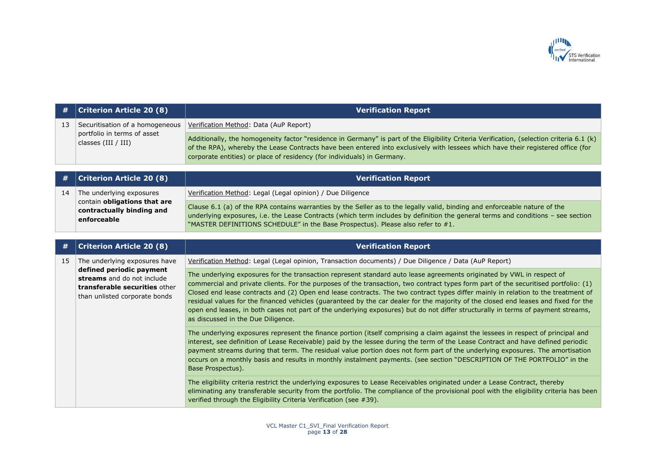

| #  | <b>Criterion Article 20 (8)</b>                      | <b>Verification Report</b>                                                                                                                                                                                                                                                                                                                               |
|----|------------------------------------------------------|----------------------------------------------------------------------------------------------------------------------------------------------------------------------------------------------------------------------------------------------------------------------------------------------------------------------------------------------------------|
| 13 | Securitisation of a homogeneous                      | Verification Method: Data (AuP Report)                                                                                                                                                                                                                                                                                                                   |
|    | portfolio in terms of asset<br>classes $(III / III)$ | Additionally, the homogeneity factor "residence in Germany" is part of the Eligibility Criteria Verification, (selection criteria 6.1 (k)<br>of the RPA), whereby the Lease Contracts have been entered into exclusively with lessees which have their registered office (for<br>corporate entities) or place of residency (for individuals) in Germany. |

|    | $\#$   Criterion Article 20 (8)                                                 | <b>Verification Report</b>                                                                                                                                                                                                                                                                                                                        |
|----|---------------------------------------------------------------------------------|---------------------------------------------------------------------------------------------------------------------------------------------------------------------------------------------------------------------------------------------------------------------------------------------------------------------------------------------------|
| 14 | The underlying exposures                                                        | Verification Method: Legal (Legal opinion) / Due Diligence                                                                                                                                                                                                                                                                                        |
|    | contain <b>obligations that are</b><br>contractually binding and<br>enforceable | Clause 6.1 (a) of the RPA contains warranties by the Seller as to the legally valid, binding and enforceable nature of the<br>underlying exposures, i.e. the Lease Contracts (which term includes by definition the general terms and conditions - see section<br>"MASTER DEFINITIONS SCHEDULE" in the Base Prospectus). Please also refer to #1. |

| #  | <b>Criterion Article 20 (8)</b>                                                                                                                           | <b>Verification Report</b>                                                                                                                                                                                                                                                                                                                                                                                                                                                                                                                                                                                                                                                                                         |
|----|-----------------------------------------------------------------------------------------------------------------------------------------------------------|--------------------------------------------------------------------------------------------------------------------------------------------------------------------------------------------------------------------------------------------------------------------------------------------------------------------------------------------------------------------------------------------------------------------------------------------------------------------------------------------------------------------------------------------------------------------------------------------------------------------------------------------------------------------------------------------------------------------|
| 15 | The underlying exposures have<br>defined periodic payment<br>streams and do not include<br>transferable securities other<br>than unlisted corporate bonds | Verification Method: Legal (Legal opinion, Transaction documents) / Due Diligence / Data (AuP Report)                                                                                                                                                                                                                                                                                                                                                                                                                                                                                                                                                                                                              |
|    |                                                                                                                                                           | The underlying exposures for the transaction represent standard auto lease agreements originated by VWL in respect of<br>commercial and private clients. For the purposes of the transaction, two contract types form part of the securitised portfolio: (1)<br>Closed end lease contracts and (2) Open end lease contracts. The two contract types differ mainly in relation to the treatment of<br>residual values for the financed vehicles (guaranteed by the car dealer for the majority of the closed end leases and fixed for the<br>open end leases, in both cases not part of the underlying exposures) but do not differ structurally in terms of payment streams,<br>as discussed in the Due Diligence. |
|    |                                                                                                                                                           | The underlying exposures represent the finance portion (itself comprising a claim against the lessees in respect of principal and<br>interest, see definition of Lease Receivable) paid by the lessee during the term of the Lease Contract and have defined periodic<br>payment streams during that term. The residual value portion does not form part of the underlying exposures. The amortisation<br>occurs on a monthly basis and results in monthly instalment payments. (see section "DESCRIPTION OF THE PORTFOLIO" in the<br>Base Prospectus).                                                                                                                                                            |
|    |                                                                                                                                                           | The eligibility criteria restrict the underlying exposures to Lease Receivables originated under a Lease Contract, thereby<br>eliminating any transferable security from the portfolio. The compliance of the provisional pool with the eligibility criteria has been<br>verified through the Eligibility Criteria Verification (see #39).                                                                                                                                                                                                                                                                                                                                                                         |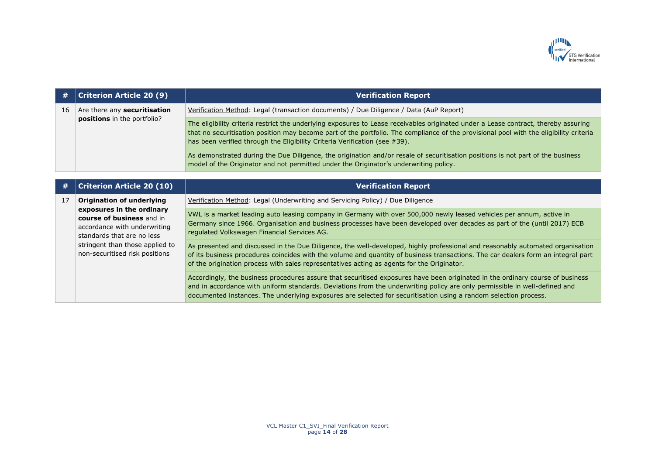

| #  | <b>Criterion Article 20 (9)</b>                                    | <b>Verification Report</b>                                                                                                                                                                                                                                                                                                                                  |
|----|--------------------------------------------------------------------|-------------------------------------------------------------------------------------------------------------------------------------------------------------------------------------------------------------------------------------------------------------------------------------------------------------------------------------------------------------|
| 16 | Are there any securitisation<br><b>positions</b> in the portfolio? | Verification Method: Legal (transaction documents) / Due Diligence / Data (AuP Report)                                                                                                                                                                                                                                                                      |
|    |                                                                    | The eligibility criteria restrict the underlying exposures to Lease receivables originated under a Lease contract, thereby assuring<br>that no securitisation position may become part of the portfolio. The compliance of the provisional pool with the eligibility criteria<br>has been verified through the Eligibility Criteria Verification (see #39). |
|    |                                                                    | As demonstrated during the Due Diligence, the origination and/or resale of securitisation positions is not part of the business<br>model of the Originator and not permitted under the Originator's underwriting policy.                                                                                                                                    |

| #  | <b>Criterion Article 20 (10)</b>                                                                                     | Verification Re <u>port b</u>                                                                                                                                                                                                                                                                                                                                                    |
|----|----------------------------------------------------------------------------------------------------------------------|----------------------------------------------------------------------------------------------------------------------------------------------------------------------------------------------------------------------------------------------------------------------------------------------------------------------------------------------------------------------------------|
| 17 | <b>Origination of underlying</b>                                                                                     | Verification Method: Legal (Underwriting and Servicing Policy) / Due Diligence                                                                                                                                                                                                                                                                                                   |
|    | exposures in the ordinary<br>course of business and in<br>accordance with underwriting<br>standards that are no less | VWL is a market leading auto leasing company in Germany with over 500,000 newly leased vehicles per annum, active in<br>Germany since 1966. Organisation and business processes have been developed over decades as part of the (until 2017) ECB<br>regulated Volkswagen Financial Services AG.                                                                                  |
|    | stringent than those applied to<br>non-securitised risk positions                                                    | As presented and discussed in the Due Diligence, the well-developed, highly professional and reasonably automated organisation<br>of its business procedures coincides with the volume and quantity of business transactions. The car dealers form an integral part<br>of the origination process with sales representatives acting as agents for the Originator.                |
|    |                                                                                                                      | Accordingly, the business procedures assure that securitised exposures have been originated in the ordinary course of business<br>and in accordance with uniform standards. Deviations from the underwriting policy are only permissible in well-defined and<br>documented instances. The underlying exposures are selected for securitisation using a random selection process. |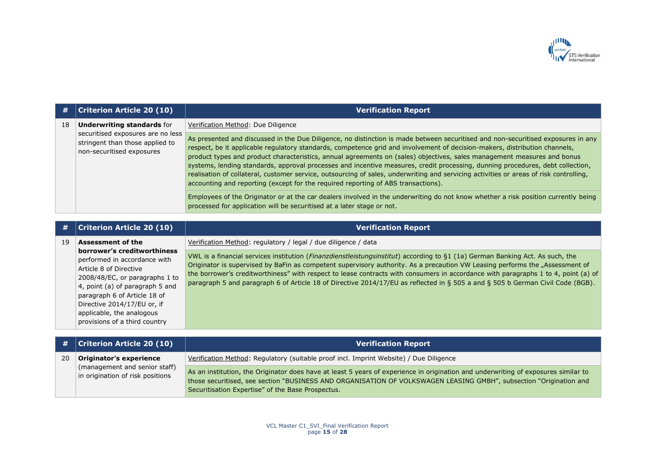

| #  | Criterion Article 20 (10)                                                                         | <b>Verification Report</b>                                                                                                                                                                                                                                                                                                                                                                                                                                                                                                                                                                                                                                                                                                                                                                                                                                                                                                                                                 |
|----|---------------------------------------------------------------------------------------------------|----------------------------------------------------------------------------------------------------------------------------------------------------------------------------------------------------------------------------------------------------------------------------------------------------------------------------------------------------------------------------------------------------------------------------------------------------------------------------------------------------------------------------------------------------------------------------------------------------------------------------------------------------------------------------------------------------------------------------------------------------------------------------------------------------------------------------------------------------------------------------------------------------------------------------------------------------------------------------|
| 18 | <b>Underwriting standards for</b>                                                                 | Verification Method: Due Diligence                                                                                                                                                                                                                                                                                                                                                                                                                                                                                                                                                                                                                                                                                                                                                                                                                                                                                                                                         |
|    | securitised exposures are no less<br>stringent than those applied to<br>non-securitised exposures | As presented and discussed in the Due Diligence, no distinction is made between securitised and non-securitised exposures in any<br>respect, be it applicable regulatory standards, competence grid and involvement of decision-makers, distribution channels,<br>product types and product characteristics, annual agreements on (sales) objectives, sales management measures and bonus<br>systems, lending standards, approval processes and incentive measures, credit processing, dunning procedures, debt collection,<br>realisation of collateral, customer service, outsourcing of sales, underwriting and servicing activities or areas of risk controlling,<br>accounting and reporting (except for the required reporting of ABS transactions).<br>Employees of the Originator or at the car dealers involved in the underwriting do not know whether a risk position currently being<br>processed for application will be securitised at a later stage or not. |

|    | <b>Criterion Article 20 (10)</b>                                                                                                                                                                                                                                                                                    | <b>Verification Report</b>                                                                                                                                                                                                                                                                                                                                                                                                                                                                                                                                                                              |
|----|---------------------------------------------------------------------------------------------------------------------------------------------------------------------------------------------------------------------------------------------------------------------------------------------------------------------|---------------------------------------------------------------------------------------------------------------------------------------------------------------------------------------------------------------------------------------------------------------------------------------------------------------------------------------------------------------------------------------------------------------------------------------------------------------------------------------------------------------------------------------------------------------------------------------------------------|
| 19 | <b>Assessment of the</b><br>borrower's creditworthiness<br>performed in accordance with<br>Article 8 of Directive<br>2008/48/EC, or paragraphs 1 to<br>4, point (a) of paragraph 5 and<br>paragraph 6 of Article 18 of<br>Directive 2014/17/EU or, if<br>applicable, the analogous<br>provisions of a third country | Verification Method: regulatory / legal / due diligence / data<br>VWL is a financial services institution (Finanzdienstleistungsinstitut) according to §1 (1a) German Banking Act. As such, the<br>Originator is supervised by BaFin as competent supervisory authority. As a precaution VW Leasing performs the "Assessment of<br>the borrower's creditworthiness" with respect to lease contracts with consumers in accordance with paragraphs 1 to 4, point (a) of<br>paragraph 5 and paragraph 6 of Article 18 of Directive 2014/17/EU as reflected in § 505 a and § 505 b German Civil Code (BGB). |
|    |                                                                                                                                                                                                                                                                                                                     |                                                                                                                                                                                                                                                                                                                                                                                                                                                                                                                                                                                                         |

|    | $\#$ Criterion Article 20 (10)                                    | <b>Verification Report</b>                                                                                                                                                                                                                                                                                    |
|----|-------------------------------------------------------------------|---------------------------------------------------------------------------------------------------------------------------------------------------------------------------------------------------------------------------------------------------------------------------------------------------------------|
| 20 | Originator's experience                                           | Verification Method: Regulatory (suitable proof incl. Imprint Website) / Due Diligence                                                                                                                                                                                                                        |
|    | (management and senior staff)<br>in origination of risk positions | As an institution, the Originator does have at least 5 years of experience in origination and underwriting of exposures similar to<br>those securitised, see section "BUSINESS AND ORGANISATION OF VOLKSWAGEN LEASING GMBH", subsection "Origination and<br>Securitisation Expertise" of the Base Prospectus. |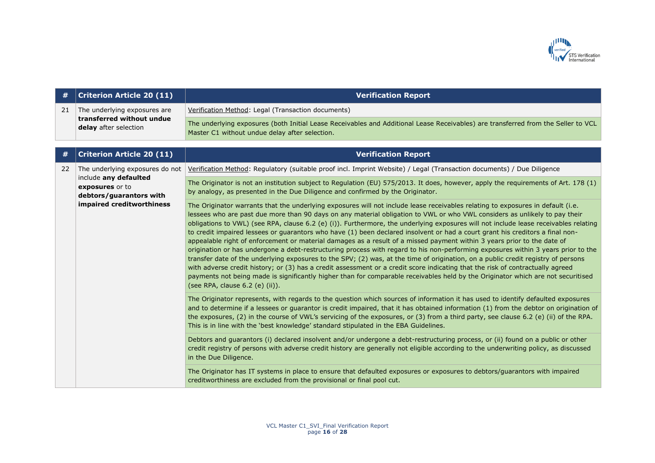

| #  | <b>Criterion Article 20 (11)</b>                                    | <b>Verification Report</b>                                                                                                                                                                                                                                                                                                                                                                                                                                                                                                                                                                                                                                                                                                                                                                                                                                                                                                                                                                                                                                                                                                                                                                                                                           |
|----|---------------------------------------------------------------------|------------------------------------------------------------------------------------------------------------------------------------------------------------------------------------------------------------------------------------------------------------------------------------------------------------------------------------------------------------------------------------------------------------------------------------------------------------------------------------------------------------------------------------------------------------------------------------------------------------------------------------------------------------------------------------------------------------------------------------------------------------------------------------------------------------------------------------------------------------------------------------------------------------------------------------------------------------------------------------------------------------------------------------------------------------------------------------------------------------------------------------------------------------------------------------------------------------------------------------------------------|
| 21 | The underlying exposures are                                        | Verification Method: Legal (Transaction documents)                                                                                                                                                                                                                                                                                                                                                                                                                                                                                                                                                                                                                                                                                                                                                                                                                                                                                                                                                                                                                                                                                                                                                                                                   |
|    | transferred without undue<br>delay after selection                  | The underlying exposures (both Initial Lease Receivables and Additional Lease Receivables) are transferred from the Seller to VCL<br>Master C1 without undue delay after selection.                                                                                                                                                                                                                                                                                                                                                                                                                                                                                                                                                                                                                                                                                                                                                                                                                                                                                                                                                                                                                                                                  |
|    |                                                                     |                                                                                                                                                                                                                                                                                                                                                                                                                                                                                                                                                                                                                                                                                                                                                                                                                                                                                                                                                                                                                                                                                                                                                                                                                                                      |
| #  | <b>Criterion Article 20 (11)</b>                                    | <b>Verification Report</b>                                                                                                                                                                                                                                                                                                                                                                                                                                                                                                                                                                                                                                                                                                                                                                                                                                                                                                                                                                                                                                                                                                                                                                                                                           |
| 22 | The underlying exposures do not                                     | Verification Method: Regulatory (suitable proof incl. Imprint Website) / Legal (Transaction documents) / Due Diligence                                                                                                                                                                                                                                                                                                                                                                                                                                                                                                                                                                                                                                                                                                                                                                                                                                                                                                                                                                                                                                                                                                                               |
|    | include any defaulted<br>exposures or to<br>debtors/guarantors with | The Originator is not an institution subject to Regulation (EU) 575/2013. It does, however, apply the requirements of Art. 178 (1)<br>by analogy, as presented in the Due Diligence and confirmed by the Originator.                                                                                                                                                                                                                                                                                                                                                                                                                                                                                                                                                                                                                                                                                                                                                                                                                                                                                                                                                                                                                                 |
|    | impaired creditworthiness                                           | The Originator warrants that the underlying exposures will not include lease receivables relating to exposures in default (i.e.<br>lessees who are past due more than 90 days on any material obligation to VWL or who VWL considers as unlikely to pay their<br>obligations to VWL) (see RPA, clause 6.2 (e) (i)). Furthermore, the underlying exposures will not include lease receivables relating<br>to credit impaired lessees or guarantors who have (1) been declared insolvent or had a court grant his creditors a final non-<br>appealable right of enforcement or material damages as a result of a missed payment within 3 years prior to the date of<br>origination or has undergone a debt-restructuring process with regard to his non-performing exposures within 3 years prior to the<br>transfer date of the underlying exposures to the SPV; (2) was, at the time of origination, on a public credit registry of persons<br>with adverse credit history; or (3) has a credit assessment or a credit score indicating that the risk of contractually agreed<br>payments not being made is significantly higher than for comparable receivables held by the Originator which are not securitised<br>(see RPA, clause 6.2 (e) (ii)). |
|    |                                                                     | The Originator represents, with regards to the question which sources of information it has used to identify defaulted exposures<br>and to determine if a lessees or guarantor is credit impaired, that it has obtained information (1) from the debtor on origination of<br>the exposures, (2) in the course of VWL's servicing of the exposures, or (3) from a third party, see clause 6.2 (e) (ii) of the RPA.<br>This is in line with the 'best knowledge' standard stipulated in the EBA Guidelines.                                                                                                                                                                                                                                                                                                                                                                                                                                                                                                                                                                                                                                                                                                                                            |
|    |                                                                     | Debtors and guarantors (i) declared insolvent and/or undergone a debt-restructuring process, or (ii) found on a public or other<br>credit registry of persons with adverse credit history are generally not eligible according to the underwriting policy, as discussed<br>in the Due Diligence.                                                                                                                                                                                                                                                                                                                                                                                                                                                                                                                                                                                                                                                                                                                                                                                                                                                                                                                                                     |
|    |                                                                     | The Originator has IT systems in place to ensure that defaulted exposures or exposures to debtors/guarantors with impaired<br>creditworthiness are excluded from the provisional or final pool cut.                                                                                                                                                                                                                                                                                                                                                                                                                                                                                                                                                                                                                                                                                                                                                                                                                                                                                                                                                                                                                                                  |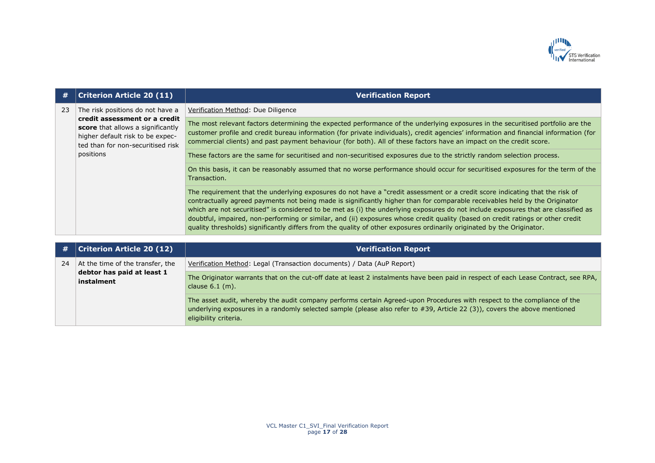

| #  | <b>Criterion Article 20 (11)</b>                                                                                                            | <b>Verification Report</b>                                                                                                                                                                                                                                                                                                                                                                                                                                                                                                                                                                                                                                     |
|----|---------------------------------------------------------------------------------------------------------------------------------------------|----------------------------------------------------------------------------------------------------------------------------------------------------------------------------------------------------------------------------------------------------------------------------------------------------------------------------------------------------------------------------------------------------------------------------------------------------------------------------------------------------------------------------------------------------------------------------------------------------------------------------------------------------------------|
| 23 | The risk positions do not have a                                                                                                            | Verification Method: Due Diligence                                                                                                                                                                                                                                                                                                                                                                                                                                                                                                                                                                                                                             |
|    | credit assessment or a credit<br>score that allows a significantly<br>higher default risk to be expec-<br>ted than for non-securitised risk | The most relevant factors determining the expected performance of the underlying exposures in the securitised portfolio are the<br>customer profile and credit bureau information (for private individuals), credit agencies' information and financial information (for<br>commercial clients) and past payment behaviour (for both). All of these factors have an impact on the credit score.                                                                                                                                                                                                                                                                |
|    | positions                                                                                                                                   | These factors are the same for securitised and non-securitised exposures due to the strictly random selection process.                                                                                                                                                                                                                                                                                                                                                                                                                                                                                                                                         |
|    |                                                                                                                                             | On this basis, it can be reasonably assumed that no worse performance should occur for securitised exposures for the term of the<br>Transaction.                                                                                                                                                                                                                                                                                                                                                                                                                                                                                                               |
|    |                                                                                                                                             | The requirement that the underlying exposures do not have a "credit assessment or a credit score indicating that the risk of<br>contractually agreed payments not being made is significantly higher than for comparable receivables held by the Originator<br>which are not securitised" is considered to be met as (i) the underlying exposures do not include exposures that are classified as<br>doubtful, impaired, non-performing or similar, and (ii) exposures whose credit quality (based on credit ratings or other credit<br>quality thresholds) significantly differs from the quality of other exposures ordinarily originated by the Originator. |

| #  | <b>Criterion Article 20 (12)</b>                                             | <b>Verification Report</b>                                                                                                                                                                                                                                                     |
|----|------------------------------------------------------------------------------|--------------------------------------------------------------------------------------------------------------------------------------------------------------------------------------------------------------------------------------------------------------------------------|
| 24 | At the time of the transfer, the<br>debtor has paid at least 1<br>instalment | Verification Method: Legal (Transaction documents) / Data (AuP Report)                                                                                                                                                                                                         |
|    |                                                                              | The Originator warrants that on the cut-off date at least 2 instalments have been paid in respect of each Lease Contract, see RPA,<br>clause $6.1$ (m).                                                                                                                        |
|    |                                                                              | The asset audit, whereby the audit company performs certain Agreed-upon Procedures with respect to the compliance of the<br>underlying exposures in a randomly selected sample (please also refer to #39, Article 22 (3)), covers the above mentioned<br>eligibility criteria. |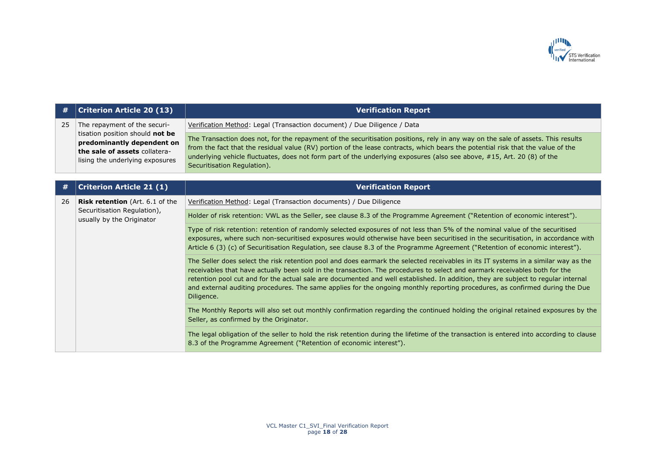

| #  | <b>Criterion Article 20 (13)</b>                                                                                                                                  | <b>Verification Report</b>                                                                                                                                                                                                                                                                                                                                                                                                                                                                                                                          |
|----|-------------------------------------------------------------------------------------------------------------------------------------------------------------------|-----------------------------------------------------------------------------------------------------------------------------------------------------------------------------------------------------------------------------------------------------------------------------------------------------------------------------------------------------------------------------------------------------------------------------------------------------------------------------------------------------------------------------------------------------|
| 25 | The repayment of the securi-<br>tisation position should not be<br>predominantly dependent on<br>the sale of assets collatera-<br>lising the underlying exposures | Verification Method: Legal (Transaction document) / Due Diligence / Data                                                                                                                                                                                                                                                                                                                                                                                                                                                                            |
|    |                                                                                                                                                                   | The Transaction does not, for the repayment of the securitisation positions, rely in any way on the sale of assets. This results<br>from the fact that the residual value (RV) portion of the lease contracts, which bears the potential risk that the value of the<br>underlying vehicle fluctuates, does not form part of the underlying exposures (also see above, #15, Art. 20 (8) of the<br>Securitisation Regulation).                                                                                                                        |
| #  | <b>Criterion Article 21 (1)</b>                                                                                                                                   | <b>Verification Report</b>                                                                                                                                                                                                                                                                                                                                                                                                                                                                                                                          |
| 26 | <b>Risk retention</b> (Art. 6.1 of the<br>Securitisation Regulation),<br>usually by the Originator                                                                | Verification Method: Legal (Transaction documents) / Due Diligence                                                                                                                                                                                                                                                                                                                                                                                                                                                                                  |
|    |                                                                                                                                                                   | Holder of risk retention: VWL as the Seller, see clause 8.3 of the Programme Agreement ("Retention of economic interest").                                                                                                                                                                                                                                                                                                                                                                                                                          |
|    |                                                                                                                                                                   | Type of risk retention: retention of randomly selected exposures of not less than 5% of the nominal value of the securitised<br>exposures, where such non-securitised exposures would otherwise have been securitised in the securitisation, in accordance with<br>Article 6 (3) (c) of Securitisation Regulation, see clause 8.3 of the Programme Agreement ("Retention of economic interest").                                                                                                                                                    |
|    |                                                                                                                                                                   | The Seller does select the risk retention pool and does earmark the selected receivables in its IT systems in a similar way as the<br>receivables that have actually been sold in the transaction. The procedures to select and earmark receivables both for the<br>retention pool cut and for the actual sale are documented and well established. In addition, they are subject to regular internal<br>and external auditing procedures. The same applies for the ongoing monthly reporting procedures, as confirmed during the Due<br>Diligence. |
|    |                                                                                                                                                                   | The Monthly Reports will also set out monthly confirmation regarding the continued holding the original retained exposures by the<br>Seller, as confirmed by the Originator.                                                                                                                                                                                                                                                                                                                                                                        |
|    |                                                                                                                                                                   | The legal obligation of the seller to hold the risk retention during the lifetime of the transaction is entered into according to clause<br>8.3 of the Programme Agreement ("Retention of economic interest").                                                                                                                                                                                                                                                                                                                                      |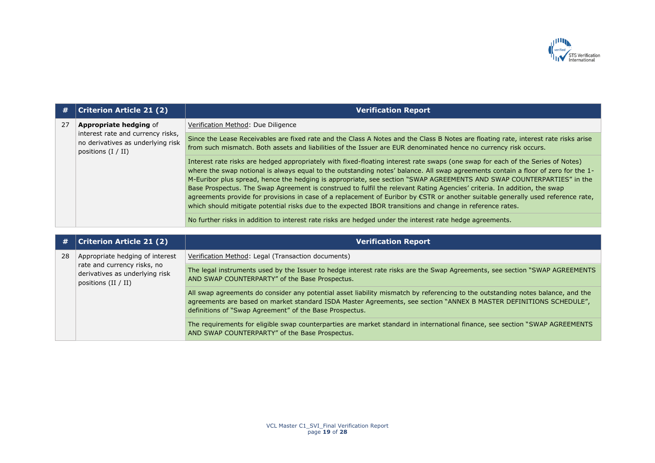

| #  | <b>Criterion Article 21 (2)</b>                                                                                                 | <b>Verification Report</b>                                                                                                                                                                                                                                                                                                                                                                                                                                                                                                                                                                                                                                                                                                                                                 |
|----|---------------------------------------------------------------------------------------------------------------------------------|----------------------------------------------------------------------------------------------------------------------------------------------------------------------------------------------------------------------------------------------------------------------------------------------------------------------------------------------------------------------------------------------------------------------------------------------------------------------------------------------------------------------------------------------------------------------------------------------------------------------------------------------------------------------------------------------------------------------------------------------------------------------------|
| 27 | <b>Appropriate hedging of</b><br>interest rate and currency risks,<br>no derivatives as underlying risk<br>positions $(I / II)$ | Verification Method: Due Diligence                                                                                                                                                                                                                                                                                                                                                                                                                                                                                                                                                                                                                                                                                                                                         |
|    |                                                                                                                                 | Since the Lease Receivables are fixed rate and the Class A Notes and the Class B Notes are floating rate, interest rate risks arise<br>from such mismatch. Both assets and liabilities of the Issuer are EUR denominated hence no currency risk occurs.                                                                                                                                                                                                                                                                                                                                                                                                                                                                                                                    |
|    |                                                                                                                                 | Interest rate risks are hedged appropriately with fixed-floating interest rate swaps (one swap for each of the Series of Notes)<br>where the swap notional is always equal to the outstanding notes' balance. All swap agreements contain a floor of zero for the 1-<br>M-Euribor plus spread, hence the hedging is appropriate, see section "SWAP AGREEMENTS AND SWAP COUNTERPARTIES" in the<br>Base Prospectus. The Swap Agreement is construed to fulfil the relevant Rating Agencies' criteria. In addition, the swap<br>agreements provide for provisions in case of a replacement of Euribor by €STR or another suitable generally used reference rate,<br>which should mitigate potential risks due to the expected IBOR transitions and change in reference rates. |
|    |                                                                                                                                 | No further risks in addition to interest rate risks are hedged under the interest rate hedge agreements.                                                                                                                                                                                                                                                                                                                                                                                                                                                                                                                                                                                                                                                                   |

| #  | <b>Criterion Article 21 (2)</b>                                                        | <b>Verification Report</b>                                                                                                                                                                                                                                                                                       |
|----|----------------------------------------------------------------------------------------|------------------------------------------------------------------------------------------------------------------------------------------------------------------------------------------------------------------------------------------------------------------------------------------------------------------|
| 28 | Appropriate hedging of interest                                                        | Verification Method: Legal (Transaction documents)                                                                                                                                                                                                                                                               |
|    | rate and currency risks, no<br>derivatives as underlying risk<br>positions $(II / II)$ | The legal instruments used by the Issuer to hedge interest rate risks are the Swap Agreements, see section "SWAP AGREEMENTS<br>AND SWAP COUNTERPARTY" of the Base Prospectus.                                                                                                                                    |
|    |                                                                                        | All swap agreements do consider any potential asset liability mismatch by referencing to the outstanding notes balance, and the<br>agreements are based on market standard ISDA Master Agreements, see section "ANNEX B MASTER DEFINITIONS SCHEDULE",<br>definitions of "Swap Agreement" of the Base Prospectus. |
|    |                                                                                        | The requirements for eligible swap counterparties are market standard in international finance, see section "SWAP AGREEMENTS"<br>AND SWAP COUNTERPARTY" of the Base Prospectus.                                                                                                                                  |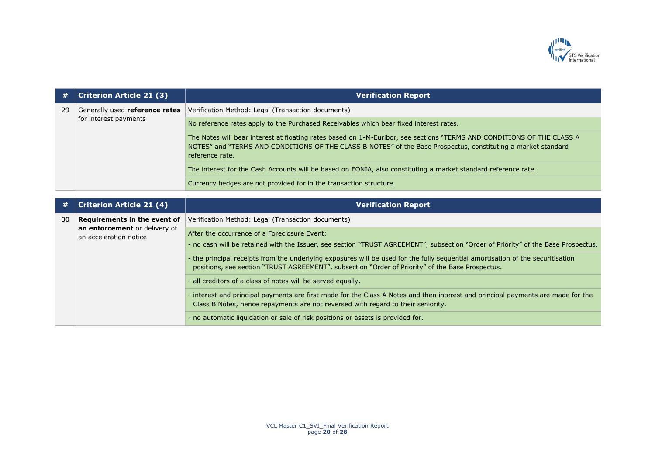

| #  | <b>Criterion Article 21 (3)</b>                         | <b>Verification Report</b>                                                                                                                                                                                                                                 |
|----|---------------------------------------------------------|------------------------------------------------------------------------------------------------------------------------------------------------------------------------------------------------------------------------------------------------------------|
| 29 | Generally used reference rates<br>for interest payments | Verification Method: Legal (Transaction documents)                                                                                                                                                                                                         |
|    |                                                         | No reference rates apply to the Purchased Receivables which bear fixed interest rates.                                                                                                                                                                     |
|    |                                                         | The Notes will bear interest at floating rates based on 1-M-Euribor, see sections "TERMS AND CONDITIONS OF THE CLASS A<br>NOTES" and "TERMS AND CONDITIONS OF THE CLASS B NOTES" of the Base Prospectus, constituting a market standard<br>reference rate. |
|    |                                                         | The interest for the Cash Accounts will be based on EONIA, also constituting a market standard reference rate.                                                                                                                                             |
|    |                                                         | Currency hedges are not provided for in the transaction structure.                                                                                                                                                                                         |
|    |                                                         |                                                                                                                                                                                                                                                            |
| #  | <b>Criterion Article 21 (4)</b>                         | <b>Verification Report</b>                                                                                                                                                                                                                                 |
| 30 | Requirements in the event of                            | Verification Method: Legal (Transaction documents)                                                                                                                                                                                                         |
|    | an enforcement or delivery of<br>an acceleration notice | After the occurrence of a Foreclosure Event:                                                                                                                                                                                                               |
|    |                                                         | - no cash will be retained with the Issuer, see section "TRUST AGREEMENT", subsection "Order of Priority" of the Base Prospectus.                                                                                                                          |
|    |                                                         | - the principal receipts from the underlying exposures will be used for the fully sequential amortisation of the securitisation<br>positions, see section "TRUST AGREEMENT", subsection "Order of Priority" of the Base Prospectus.                        |
|    |                                                         | - all creditors of a class of notes will be served equally.                                                                                                                                                                                                |
|    |                                                         | - interest and principal payments are first made for the Class A Notes and then interest and principal payments are made for the<br>Class B Notes, hence repayments are not reversed with regard to their seniority.                                       |
|    |                                                         | - no automatic liquidation or sale of risk positions or assets is provided for.                                                                                                                                                                            |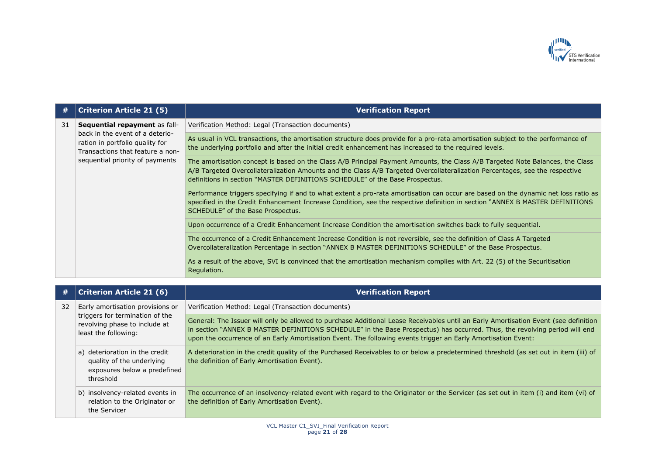

| #  | <b>Criterion Article 21 (5)</b>                                                                                                                                            | <b>Verification Report</b>                                                                                                                                                                                                                                                                                                                   |
|----|----------------------------------------------------------------------------------------------------------------------------------------------------------------------------|----------------------------------------------------------------------------------------------------------------------------------------------------------------------------------------------------------------------------------------------------------------------------------------------------------------------------------------------|
| 31 | Sequential repayment as fall-<br>back in the event of a deterio-<br>ration in portfolio quality for<br>Transactions that feature a non-<br>sequential priority of payments | Verification Method: Legal (Transaction documents)                                                                                                                                                                                                                                                                                           |
|    |                                                                                                                                                                            | As usual in VCL transactions, the amortisation structure does provide for a pro-rata amortisation subject to the performance of<br>the underlying portfolio and after the initial credit enhancement has increased to the required levels.                                                                                                   |
|    |                                                                                                                                                                            | The amortisation concept is based on the Class A/B Principal Payment Amounts, the Class A/B Targeted Note Balances, the Class<br>A/B Targeted Overcollateralization Amounts and the Class A/B Targeted Overcollateralization Percentages, see the respective<br>definitions in section "MASTER DEFINITIONS SCHEDULE" of the Base Prospectus. |
|    |                                                                                                                                                                            | Performance triggers specifying if and to what extent a pro-rata amortisation can occur are based on the dynamic net loss ratio as<br>specified in the Credit Enhancement Increase Condition, see the respective definition in section "ANNEX B MASTER DEFINITIONS<br>SCHEDULE" of the Base Prospectus.                                      |
|    |                                                                                                                                                                            | Upon occurrence of a Credit Enhancement Increase Condition the amortisation switches back to fully sequential.                                                                                                                                                                                                                               |
|    |                                                                                                                                                                            | The occurrence of a Credit Enhancement Increase Condition is not reversible, see the definition of Class A Targeted<br>Overcollateralization Percentage in section "ANNEX B MASTER DEFINITIONS SCHEDULE" of the Base Prospectus.                                                                                                             |
|    |                                                                                                                                                                            | As a result of the above, SVI is convinced that the amortisation mechanism complies with Art. 22 (5) of the Securitisation<br>Regulation.                                                                                                                                                                                                    |
| #  | <b>Criterion Article 21 (6)</b>                                                                                                                                            | <b>Verification Report</b>                                                                                                                                                                                                                                                                                                                   |

| 32 | Early amortisation provisions or<br>triggers for termination of the<br>revolving phase to include at<br>least the following: | Verification Method: Legal (Transaction documents)                                                                                                                                                                                                                                                                                                                                 |
|----|------------------------------------------------------------------------------------------------------------------------------|------------------------------------------------------------------------------------------------------------------------------------------------------------------------------------------------------------------------------------------------------------------------------------------------------------------------------------------------------------------------------------|
|    |                                                                                                                              | General: The Issuer will only be allowed to purchase Additional Lease Receivables until an Early Amortisation Event (see definition<br>in section "ANNEX B MASTER DEFINITIONS SCHEDULE" in the Base Prospectus) has occurred. Thus, the revolving period will end<br>upon the occurrence of an Early Amortisation Event. The following events trigger an Early Amortisation Event: |
|    | a) deterioration in the credit<br>quality of the underlying<br>exposures below a predefined<br>threshold                     | A deterioration in the credit quality of the Purchased Receivables to or below a predetermined threshold (as set out in item (iii) of<br>the definition of Early Amortisation Event).                                                                                                                                                                                              |
|    | b) insolvency-related events in<br>relation to the Originator or<br>the Servicer                                             | The occurrence of an insolvency-related event with regard to the Originator or the Servicer (as set out in item (i) and item (vi) of<br>the definition of Early Amortisation Event).                                                                                                                                                                                               |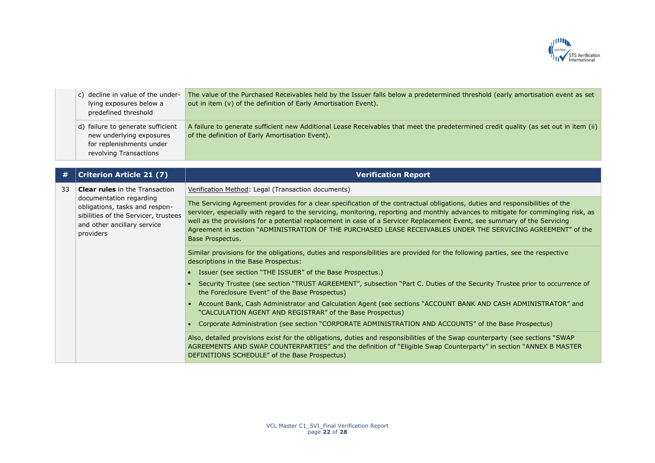

| c) decline in value of the under-<br>lying exposures below a<br>predefined threshold | The value of the Purchased Receivables held by the Issuer falls below a predetermined threshold (early amortisation event as set<br>out in item (v) of the definition of Early Amortisation Event). |
|--------------------------------------------------------------------------------------|-----------------------------------------------------------------------------------------------------------------------------------------------------------------------------------------------------|
| d) failure to generate sufficient<br>new underlying exposures                        | A failure to generate sufficient new Additional Lease Receivables that meet the predetermined credit quality (as set out in item (ii)<br>of the definition of Early Amortisation Event).            |
| for replenishments under<br>revolving Transactions                                   |                                                                                                                                                                                                     |

| #  | <b>Criterion Article 21 (7)</b>                                                                                                                                                        | <b>Verification Report</b>                                                                                                                                                                                                                                                                                                                                                                                                                                                                                                           |
|----|----------------------------------------------------------------------------------------------------------------------------------------------------------------------------------------|--------------------------------------------------------------------------------------------------------------------------------------------------------------------------------------------------------------------------------------------------------------------------------------------------------------------------------------------------------------------------------------------------------------------------------------------------------------------------------------------------------------------------------------|
| 33 | <b>Clear rules</b> in the Transaction<br>documentation regarding<br>obligations, tasks and respon-<br>sibilities of the Servicer, trustees<br>and other ancillary service<br>providers | Verification Method: Legal (Transaction documents)                                                                                                                                                                                                                                                                                                                                                                                                                                                                                   |
|    |                                                                                                                                                                                        | The Servicing Agreement provides for a clear specification of the contractual obligations, duties and responsibilities of the<br>servicer, especially with regard to the servicing, monitoring, reporting and monthly advances to mitigate for commingling risk, as<br>well as the provisions for a potential replacement in case of a Servicer Replacement Event, see summary of the Servicing<br>Agreement in section "ADMINISTRATION OF THE PURCHASED LEASE RECEIVABLES UNDER THE SERVICING AGREEMENT" of the<br>Base Prospectus. |
|    |                                                                                                                                                                                        | Similar provisions for the obligations, duties and responsibilities are provided for the following parties, see the respective<br>descriptions in the Base Prospectus:                                                                                                                                                                                                                                                                                                                                                               |
|    |                                                                                                                                                                                        | Issuer (see section "THE ISSUER" of the Base Prospectus.)                                                                                                                                                                                                                                                                                                                                                                                                                                                                            |
|    |                                                                                                                                                                                        | Security Trustee (see section "TRUST AGREEMENT", subsection "Part C. Duties of the Security Trustee prior to occurrence of<br>the Foreclosure Event" of the Base Prospectus)                                                                                                                                                                                                                                                                                                                                                         |
|    |                                                                                                                                                                                        | • Account Bank, Cash Administrator and Calculation Agent (see sections "ACCOUNT BANK AND CASH ADMINISTRATOR" and<br>"CALCULATION AGENT AND REGISTRAR" of the Base Prospectus)                                                                                                                                                                                                                                                                                                                                                        |
|    |                                                                                                                                                                                        | Corporate Administration (see section "CORPORATE ADMINISTRATION AND ACCOUNTS" of the Base Prospectus)                                                                                                                                                                                                                                                                                                                                                                                                                                |
|    |                                                                                                                                                                                        | Also, detailed provisions exist for the obligations, duties and responsibilities of the Swap counterparty (see sections "SWAP<br>AGREEMENTS AND SWAP COUNTERPARTIES" and the definition of "Eligible Swap Counterparty" in section "ANNEX B MASTER<br>DEFINITIONS SCHEDULE" of the Base Prospectus)                                                                                                                                                                                                                                  |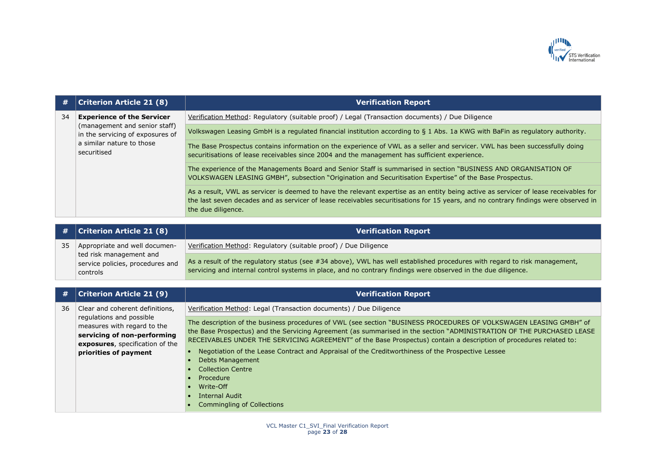

| #  | <b>Criterion Article 21 (8)</b>                                                                                                                    | <b>Verification Report</b>                                                                                                                                                                                                                                                                        |
|----|----------------------------------------------------------------------------------------------------------------------------------------------------|---------------------------------------------------------------------------------------------------------------------------------------------------------------------------------------------------------------------------------------------------------------------------------------------------|
| 34 | <b>Experience of the Servicer</b><br>(management and senior staff)<br>in the servicing of exposures of<br>a similar nature to those<br>securitised | Verification Method: Regulatory (suitable proof) / Legal (Transaction documents) / Due Diligence                                                                                                                                                                                                  |
|    |                                                                                                                                                    | Volkswagen Leasing GmbH is a regulated financial institution according to § 1 Abs. 1a KWG with BaFin as regulatory authority.                                                                                                                                                                     |
|    |                                                                                                                                                    | The Base Prospectus contains information on the experience of VWL as a seller and servicer. VWL has been successfully doing<br>securitisations of lease receivables since 2004 and the management has sufficient experience.                                                                      |
|    |                                                                                                                                                    | The experience of the Managements Board and Senior Staff is summarised in section "BUSINESS AND ORGANISATION OF<br>VOLKSWAGEN LEASING GMBH", subsection "Origination and Securitisation Expertise" of the Base Prospectus.                                                                        |
|    |                                                                                                                                                    | As a result, VWL as servicer is deemed to have the relevant expertise as an entity being active as servicer of lease receivables for<br>the last seven decades and as servicer of lease receivables securitisations for 15 years, and no contrary findings were observed in<br>the due diligence. |

| $\#$   Criterion Article 21 (8)  | <b>Verification Report</b>                                                                                                |
|----------------------------------|---------------------------------------------------------------------------------------------------------------------------|
| Appropriate and well documen-    | Verification Method: Regulatory (suitable proof) / Due Diligence                                                          |
| ted risk management and          |                                                                                                                           |
| service policies, procedures and | As a result of the regulatory status (see #34 above), VWL has well established procedures with regard to risk management, |
| controls                         | servicing and internal control systems in place, and no contrary findings were observed in the due diligence.             |

| #  | <b>Criterion Article 21 (9)</b>                                                                                                                                                       | <b>Verification Report</b>                                                                                                                                                                                                                                                                                                                                                                                                                                             |
|----|---------------------------------------------------------------------------------------------------------------------------------------------------------------------------------------|------------------------------------------------------------------------------------------------------------------------------------------------------------------------------------------------------------------------------------------------------------------------------------------------------------------------------------------------------------------------------------------------------------------------------------------------------------------------|
| 36 | Clear and coherent definitions,<br>regulations and possible<br>measures with regard to the<br>servicing of non-performing<br>exposures, specification of the<br>priorities of payment | Verification Method: Legal (Transaction documents) / Due Diligence                                                                                                                                                                                                                                                                                                                                                                                                     |
|    |                                                                                                                                                                                       | The description of the business procedures of VWL (see section "BUSINESS PROCEDURES OF VOLKSWAGEN LEASING GMBH" of<br>the Base Prospectus) and the Servicing Agreement (as summarised in the section "ADMINISTRATION OF THE PURCHASED LEASE<br>RECEIVABLES UNDER THE SERVICING AGREEMENT" of the Base Prospectus) contain a description of procedures related to:<br>Negotiation of the Lease Contract and Appraisal of the Creditworthiness of the Prospective Lessee |
|    |                                                                                                                                                                                       | <b>Debts Management</b><br><b>Collection Centre</b>                                                                                                                                                                                                                                                                                                                                                                                                                    |
|    |                                                                                                                                                                                       | Procedure<br>Write-Off<br><b>Internal Audit</b><br><b>Commingling of Collections</b>                                                                                                                                                                                                                                                                                                                                                                                   |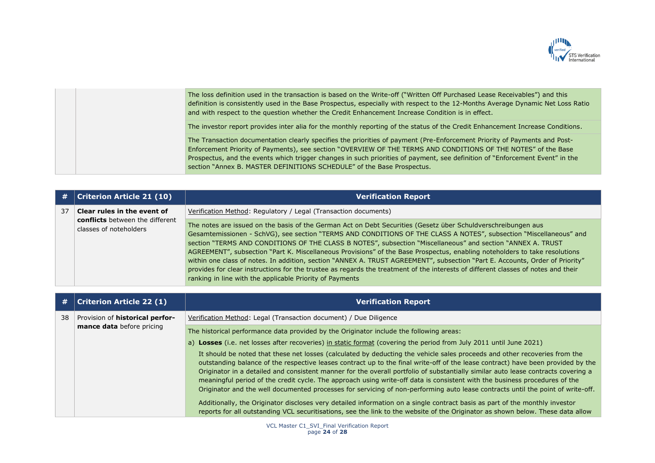

The loss definition used in the transaction is based on the Write-off ("Written Off Purchased Lease Receivables") and this definition is consistently used in the Base Prospectus, especially with respect to the 12-Months Average Dynamic Net Loss Ratio and with respect to the question whether the Credit Enhancement Increase Condition is in effect. The investor report provides inter alia for the monthly reporting of the status of the Credit Enhancement Increase Conditions. The Transaction documentation clearly specifies the priorities of payment (Pre-Enforcement Priority of Payments and Post-Enforcement Priority of Payments), see section "OVERVIEW OF THE TERMS AND CONDITIONS OF THE NOTES" of the Base Prospectus, and the events which trigger changes in such priorities of payment, see definition of "Enforcement Event" in the section "Annex B. MASTER DEFINITIONS SCHEDULE" of the Base Prospectus.

| #  | <b>Criterion Article 21 (10)</b>                                 | <b>Verification Report</b>                                                                                                                                                                                                                                                                                                                                                                                                                                                                                                                                                                                                                                                                                                                                                                                        |
|----|------------------------------------------------------------------|-------------------------------------------------------------------------------------------------------------------------------------------------------------------------------------------------------------------------------------------------------------------------------------------------------------------------------------------------------------------------------------------------------------------------------------------------------------------------------------------------------------------------------------------------------------------------------------------------------------------------------------------------------------------------------------------------------------------------------------------------------------------------------------------------------------------|
| 37 | Clear rules in the event of                                      | Verification Method: Regulatory / Legal (Transaction documents)                                                                                                                                                                                                                                                                                                                                                                                                                                                                                                                                                                                                                                                                                                                                                   |
|    | <b>conflicts</b> between the different<br>classes of noteholders | The notes are issued on the basis of the German Act on Debt Securities (Gesetz über Schuldverschreibungen aus<br>Gesamtemissionen - SchVG), see section "TERMS AND CONDITIONS OF THE CLASS A NOTES", subsection "Miscellaneous" and<br>section "TERMS AND CONDITIONS OF THE CLASS B NOTES", subsection "Miscellaneous" and section "ANNEX A. TRUST<br>AGREEMENT", subsection "Part K. Miscellaneous Provisions" of the Base Prospectus, enabling noteholders to take resolutions<br>within one class of notes. In addition, section "ANNEX A. TRUST AGREEMENT", subsection "Part E. Accounts, Order of Priority"<br>provides for clear instructions for the trustee as regards the treatment of the interests of different classes of notes and their<br>ranking in line with the applicable Priority of Payments |

| #  | <b>Criterion Article 22 (1)</b>                                     | <b>Verification Report</b>                                                                                                                                                                                                                                                                                                                                                                                                                                                                                                                                                                                                                                           |
|----|---------------------------------------------------------------------|----------------------------------------------------------------------------------------------------------------------------------------------------------------------------------------------------------------------------------------------------------------------------------------------------------------------------------------------------------------------------------------------------------------------------------------------------------------------------------------------------------------------------------------------------------------------------------------------------------------------------------------------------------------------|
| 38 | Provision of <b>historical perfor-</b><br>mance data before pricing | Verification Method: Legal (Transaction document) / Due Diligence                                                                                                                                                                                                                                                                                                                                                                                                                                                                                                                                                                                                    |
|    |                                                                     | The historical performance data provided by the Originator include the following areas:                                                                                                                                                                                                                                                                                                                                                                                                                                                                                                                                                                              |
|    |                                                                     | a) Losses (i.e. net losses after recoveries) in static format (covering the period from July 2011 until June 2021)                                                                                                                                                                                                                                                                                                                                                                                                                                                                                                                                                   |
|    |                                                                     | It should be noted that these net losses (calculated by deducting the vehicle sales proceeds and other recoveries from the<br>outstanding balance of the respective leases contract up to the final write-off of the lease contract) have been provided by the<br>Originator in a detailed and consistent manner for the overall portfolio of substantially similar auto lease contracts covering a<br>meaningful period of the credit cycle. The approach using write-off data is consistent with the business procedures of the<br>Originator and the well documented processes for servicing of non-performing auto lease contracts until the point of write-off. |
|    |                                                                     | Additionally, the Originator discloses very detailed information on a single contract basis as part of the monthly investor<br>reports for all outstanding VCL securitisations, see the link to the website of the Originator as shown below. These data allow                                                                                                                                                                                                                                                                                                                                                                                                       |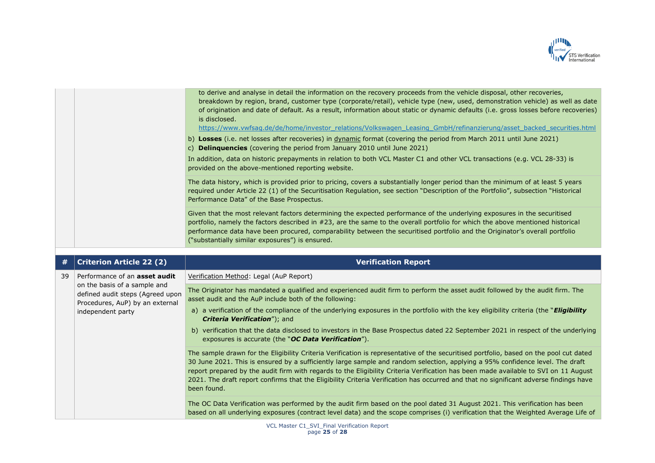

| to derive and analyse in detail the information on the recovery proceeds from the vehicle disposal, other recoveries,<br>breakdown by region, brand, customer type (corporate/retail), vehicle type (new, used, demonstration vehicle) as well as date<br>of origination and date of default. As a result, information about static or dynamic defaults (i.e. gross losses before recoveries)<br>is disclosed.<br>https://www.vwfsag.de/de/home/investor_relations/Volkswagen_Leasing_GmbH/refinanzierung/asset_backed_securities.html |
|----------------------------------------------------------------------------------------------------------------------------------------------------------------------------------------------------------------------------------------------------------------------------------------------------------------------------------------------------------------------------------------------------------------------------------------------------------------------------------------------------------------------------------------|
| b) Losses (i.e. net losses after recoveries) in dynamic format (covering the period from March 2011 until June 2021)<br>c) <b>Delinquencies</b> (covering the period from January 2010 until June 2021)                                                                                                                                                                                                                                                                                                                                |
| In addition, data on historic prepayments in relation to both VCL Master C1 and other VCL transactions (e.g. VCL 28-33) is<br>provided on the above-mentioned reporting website.                                                                                                                                                                                                                                                                                                                                                       |
| The data history, which is provided prior to pricing, covers a substantially longer period than the minimum of at least 5 years<br>required under Article 22 (1) of the Securitisation Regulation, see section "Description of the Portfolio", subsection "Historical<br>Performance Data" of the Base Prospectus.                                                                                                                                                                                                                     |
| Given that the most relevant factors determining the expected performance of the underlying exposures in the securitised<br>portfolio, namely the factors described in #23, are the same to the overall portfolio for which the above mentioned historical<br>performance data have been procured, comparability between the securitised portfolio and the Originator's overall portfolio<br>("substantially similar exposures") is ensured.                                                                                           |

| #  | <b>Criterion Article 22 (2)</b>                                                                                                                                  | <b>Verification Report</b>                                                                                                                                                                                                                                                                                                                                                                                                                                                                                                                                             |
|----|------------------------------------------------------------------------------------------------------------------------------------------------------------------|------------------------------------------------------------------------------------------------------------------------------------------------------------------------------------------------------------------------------------------------------------------------------------------------------------------------------------------------------------------------------------------------------------------------------------------------------------------------------------------------------------------------------------------------------------------------|
| 39 | Performance of an <b>asset audit</b><br>on the basis of a sample and<br>defined audit steps (Agreed upon<br>Procedures, AuP) by an external<br>independent party | Verification Method: Legal (AuP Report)                                                                                                                                                                                                                                                                                                                                                                                                                                                                                                                                |
|    |                                                                                                                                                                  | The Originator has mandated a qualified and experienced audit firm to perform the asset audit followed by the audit firm. The<br>asset audit and the AuP include both of the following:                                                                                                                                                                                                                                                                                                                                                                                |
|    |                                                                                                                                                                  | a) a verification of the compliance of the underlying exposures in the portfolio with the key eligibility criteria (the " <b>Eligibility</b><br><b>Criteria Verification"); and</b>                                                                                                                                                                                                                                                                                                                                                                                    |
|    |                                                                                                                                                                  | b) verification that the data disclosed to investors in the Base Prospectus dated 22 September 2021 in respect of the underlying<br>exposures is accurate (the "OC Data Verification").                                                                                                                                                                                                                                                                                                                                                                                |
|    |                                                                                                                                                                  | The sample drawn for the Eligibility Criteria Verification is representative of the securitised portfolio, based on the pool cut dated<br>30 June 2021. This is ensured by a sufficiently large sample and random selection, applying a 95% confidence level. The draft<br>report prepared by the audit firm with regards to the Eligibility Criteria Verification has been made available to SVI on 11 August<br>2021. The draft report confirms that the Eligibility Criteria Verification has occurred and that no significant adverse findings have<br>been found. |
|    |                                                                                                                                                                  | The OC Data Verification was performed by the audit firm based on the pool dated 31 August 2021. This verification has been<br>based on all underlying exposures (contract level data) and the scope comprises (i) verification that the Weighted Average Life of                                                                                                                                                                                                                                                                                                      |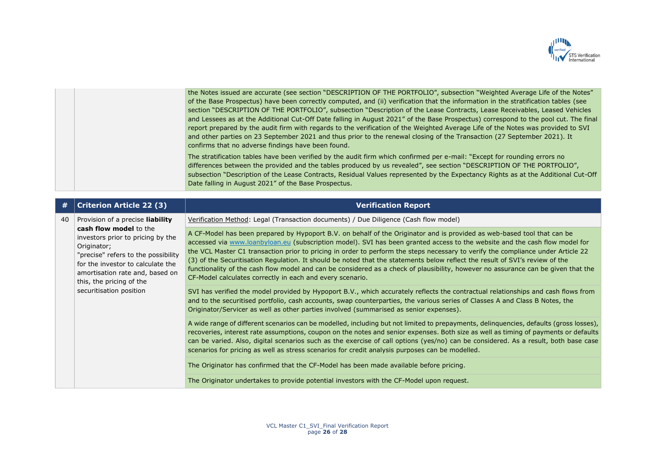

| the Notes issued are accurate (see section "DESCRIPTION OF THE PORTFOLIO", subsection "Weighted Average Life of the Notes"          |
|-------------------------------------------------------------------------------------------------------------------------------------|
| of the Base Prospectus) have been correctly computed, and (ii) verification that the information in the stratification tables (see  |
| section "DESCRIPTION OF THE PORTFOLIO", subsection "Description of the Lease Contracts, Lease Receivables, Leased Vehicles          |
| and Lessees as at the Additional Cut-Off Date falling in August 2021" of the Base Prospectus) correspond to the pool cut. The final |
| report prepared by the audit firm with regards to the verification of the Weighted Average Life of the Notes was provided to SVI    |
| and other parties on 23 September 2021 and thus prior to the renewal closing of the Transaction (27 September 2021). It             |
| confirms that no adverse findings have been found.                                                                                  |

The stratification tables have been verified by the audit firm which confirmed per e-mail: "Except for rounding errors no differences between the provided and the tables produced by us revealed", see section "DESCRIPTION OF THE PORTFOLIO", subsection "Description of the Lease Contracts, Residual Values represented by the Expectancy Rights as at the Additional Cut-Off Date falling in August 2021" of the Base Prospectus.

| #  | <b>Criterion Article 22 (3)</b>                                                                                                                                                                                                                                                             | <b>Verification Report</b>                                                                                                                                                                                                                                                                                                                                                                                                                                                                                                                                                                                                                                                                                                   |
|----|---------------------------------------------------------------------------------------------------------------------------------------------------------------------------------------------------------------------------------------------------------------------------------------------|------------------------------------------------------------------------------------------------------------------------------------------------------------------------------------------------------------------------------------------------------------------------------------------------------------------------------------------------------------------------------------------------------------------------------------------------------------------------------------------------------------------------------------------------------------------------------------------------------------------------------------------------------------------------------------------------------------------------------|
| 40 | Provision of a precise <b>liability</b><br>cash flow model to the<br>investors prior to pricing by the<br>Originator;<br>"precise" refers to the possibility<br>for the investor to calculate the<br>amortisation rate and, based on<br>this, the pricing of the<br>securitisation position | Verification Method: Legal (Transaction documents) / Due Diligence (Cash flow model)                                                                                                                                                                                                                                                                                                                                                                                                                                                                                                                                                                                                                                         |
|    |                                                                                                                                                                                                                                                                                             | A CF-Model has been prepared by Hypoport B.V. on behalf of the Originator and is provided as web-based tool that can be<br>accessed via www.loanbyloan.eu (subscription model). SVI has been granted access to the website and the cash flow model for<br>the VCL Master C1 transaction prior to pricing in order to perform the steps necessary to verify the compliance under Article 22<br>(3) of the Securitisation Regulation. It should be noted that the statements below reflect the result of SVI's review of the<br>functionality of the cash flow model and can be considered as a check of plausibility, however no assurance can be given that the<br>CF-Model calculates correctly in each and every scenario. |
|    |                                                                                                                                                                                                                                                                                             | SVI has verified the model provided by Hypoport B.V., which accurately reflects the contractual relationships and cash flows from<br>and to the securitised portfolio, cash accounts, swap counterparties, the various series of Classes A and Class B Notes, the<br>Originator/Servicer as well as other parties involved (summarised as senior expenses).                                                                                                                                                                                                                                                                                                                                                                  |
|    |                                                                                                                                                                                                                                                                                             | A wide range of different scenarios can be modelled, including but not limited to prepayments, delinquencies, defaults (gross losses),<br>recoveries, interest rate assumptions, coupon on the notes and senior expenses. Both size as well as timing of payments or defaults<br>can be varied. Also, digital scenarios such as the exercise of call options (yes/no) can be considered. As a result, both base case<br>scenarios for pricing as well as stress scenarios for credit analysis purposes can be modelled.                                                                                                                                                                                                      |
|    |                                                                                                                                                                                                                                                                                             | The Originator has confirmed that the CF-Model has been made available before pricing.                                                                                                                                                                                                                                                                                                                                                                                                                                                                                                                                                                                                                                       |
|    |                                                                                                                                                                                                                                                                                             | The Originator undertakes to provide potential investors with the CF-Model upon request.                                                                                                                                                                                                                                                                                                                                                                                                                                                                                                                                                                                                                                     |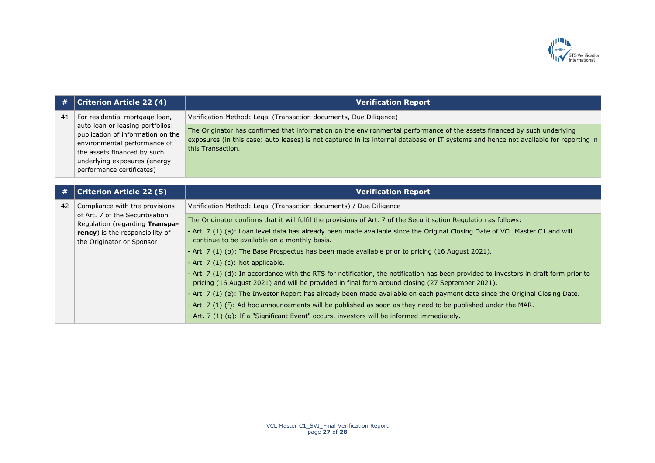

| #  | <b>Criterion Article 22 (4)</b>                                                                                                                                                                                                     | <b>Verification Report</b>                                                                                                                                                                                                                                                             |
|----|-------------------------------------------------------------------------------------------------------------------------------------------------------------------------------------------------------------------------------------|----------------------------------------------------------------------------------------------------------------------------------------------------------------------------------------------------------------------------------------------------------------------------------------|
| 41 | For residential mortgage loan,<br>auto loan or leasing portfolios:<br>publication of information on the<br>environmental performance of<br>the assets financed by such<br>underlying exposures (energy<br>performance certificates) | Verification Method: Legal (Transaction documents, Due Diligence)                                                                                                                                                                                                                      |
|    |                                                                                                                                                                                                                                     | The Originator has confirmed that information on the environmental performance of the assets financed by such underlying<br>exposures (in this case: auto leases) is not captured in its internal database or IT systems and hence not available for reporting in<br>this Transaction. |
| #  | <b>Criterion Article 22 (5)</b>                                                                                                                                                                                                     | <b>Verification Report</b>                                                                                                                                                                                                                                                             |
|    |                                                                                                                                                                                                                                     |                                                                                                                                                                                                                                                                                        |
| 42 | Compliance with the provisions<br>of Art. 7 of the Securitisation<br>Regulation (regarding Transpa-<br><b>rency</b> ) is the responsibility of<br>the Originator or Sponsor                                                         | Verification Method: Legal (Transaction documents) / Due Diligence                                                                                                                                                                                                                     |
|    |                                                                                                                                                                                                                                     | The Originator confirms that it will fulfil the provisions of Art. 7 of the Securitisation Regulation as follows:                                                                                                                                                                      |
|    |                                                                                                                                                                                                                                     | - Art. 7 (1) (a): Loan level data has already been made available since the Original Closing Date of VCL Master C1 and will<br>continue to be available on a monthly basis.                                                                                                            |
|    |                                                                                                                                                                                                                                     | - Art. 7 (1) (b): The Base Prospectus has been made available prior to pricing (16 August 2021).                                                                                                                                                                                       |
|    |                                                                                                                                                                                                                                     | - Art. 7 (1) (c): Not applicable.                                                                                                                                                                                                                                                      |
|    |                                                                                                                                                                                                                                     | - Art. 7 (1) (d): In accordance with the RTS for notification, the notification has been provided to investors in draft form prior to<br>pricing (16 August 2021) and will be provided in final form around closing (27 September 2021).                                               |
|    |                                                                                                                                                                                                                                     | - Art. 7 (1) (e): The Investor Report has already been made available on each payment date since the Original Closing Date.                                                                                                                                                            |
|    |                                                                                                                                                                                                                                     | - Art. 7 (1) (f): Ad hoc announcements will be published as soon as they need to be published under the MAR.                                                                                                                                                                           |
|    |                                                                                                                                                                                                                                     | - Art. 7 (1) (g): If a "Significant Event" occurs, investors will be informed immediately.                                                                                                                                                                                             |